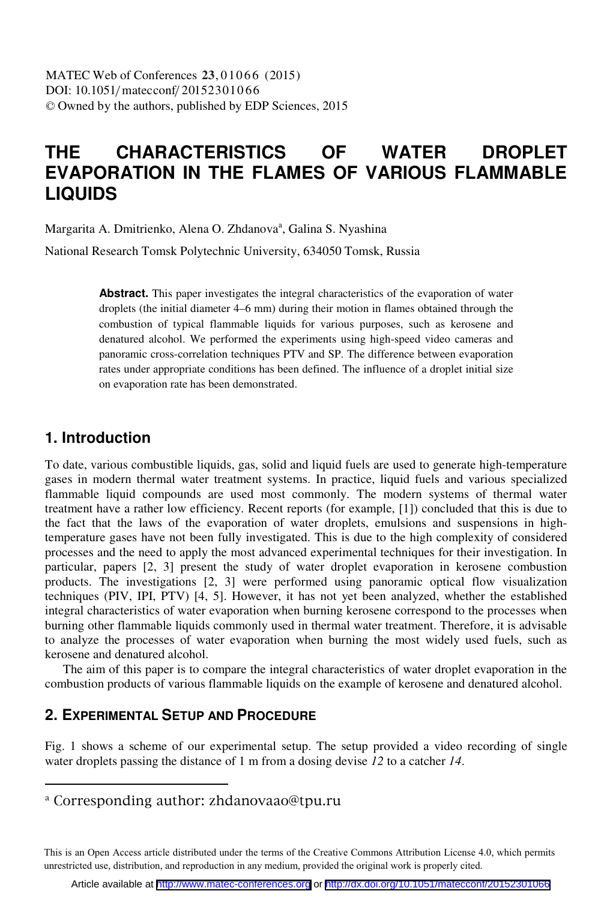# **THE CHARACTERISTICS OF WATER DROPLET EVAPORATION IN THE FLAMES OF VARIOUS FLAMMABLE LIQUIDS**

Margarita A. Dmitrienko, Alena O. Zhdanova<sup>a</sup>, Galina S. Nyashina

National Research Tomsk Polytechnic University, 634050 Tomsk, Russia

Abstract. This paper investigates the integral characteristics of the evaporation of water droplets (the initial diameter 4–6 mm) during their motion in flames obtained through the combustion of typical flammable liquids for various purposes, such as kerosene and denatured alcohol. We performed the experiments using high-speed video cameras and panoramic cross-correlation techniques PTV and SP. The difference between evaporation rates under appropriate conditions has been defined. The influence of a droplet initial size on evaporation rate has been demonstrated.

# **1. Introduction**

To date, various combustible liquids, gas, solid and liquid fuels are used to generate high-temperature gases in modern thermal water treatment systems. In practice, liquid fuels and various specialized flammable liquid compounds are used most commonly. The modern systems of thermal water treatment have a rather low efficiency. Recent reports (for example, [1]) concluded that this is due to the fact that the laws of the evaporation of water droplets, emulsions and suspensions in hightemperature gases have not been fully investigated. This is due to the high complexity of considered processes and the need to apply the most advanced experimental techniques for their investigation. In particular, papers [2, 3] present the study of water droplet evaporation in kerosene combustion products. The investigations [2, 3] were performed using panoramic optical flow visualization techniques (PIV, IPI, PTV) [4, 5]. However, it has not yet been analyzed, whether the established integral characteristics of water evaporation when burning kerosene correspond to the processes when burning other flammable liquids commonly used in thermal water treatment. Therefore, it is advisable to analyze the processes of water evaporation when burning the most widely used fuels, such as kerosene and denatured alcohol.

The aim of this paper is to compare the integral characteristics of water droplet evaporation in the combustion products of various flammable liquids on the example of kerosene and denatured alcohol.

## **2. EXPERIMENTAL SETUP AND PROCEDURE**

Fig. 1 shows a scheme of our experimental setup. The setup provided a video recording of single water droplets passing the distance of 1 m from a dosing devise *12* to a catcher *14*.

<sup>a</sup> Corresponding author: zhdanovaao@tpu.ru

This is an Open Access article distributed under the terms of the Creative Commons Attribution License 4.0, which permits unrestricted use, distribution, and reproduction in any medium, provided the original work is properly cited.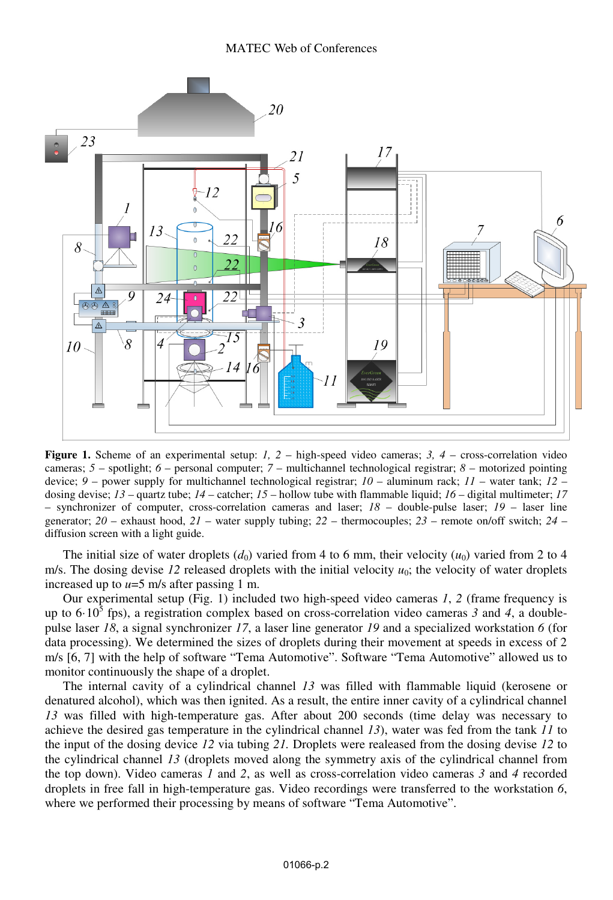

**Figure 1.** Scheme of an experimental setup: *1, 2* – high-speed video cameras; 3, 4 – cross-correlation video cameras; *5* – spotlight; *6* – personal computer; *7* – multichannel technological registrar; *8* – motorized pointing device; *9* – power supply for multichannel technological registrar; *10* – aluminum rack; *11* – water tank; *12* – dosing devise; *13* – quartz tube; *14* – catcher; *15* – hollow tube with flammable liquid; *16* – digital multimeter; *17* – synchronizer of computer, cross-correlation cameras and laser; *18* – double-pulse laser; *19* – laser line generator; *20* – exhaust hood, *21* – water supply tubing; *22* – thermocouples; *23* – remote on/off switch; *24* – diffusion screen with a light guide.

The initial size of water droplets  $(d_0)$  varied from 4 to 6 mm, their velocity  $(u_0)$  varied from 2 to 4 m/s. The dosing devise  $12$  released droplets with the initial velocity  $u_0$ ; the velocity of water droplets increased up to  $u=5$  m/s after passing 1 m.

Our experimental setup (Fig. 1) included two high-speed video cameras *1*, *2* (frame frequency is up to  $6·10<sup>3</sup>$  fps), a registration complex based on cross-correlation video cameras 3 and 4, a doublepulse laser *18*, a signal synchronizer *17*, a laser line generator *19* and a specialized workstation *6* (for data processing). We determined the sizes of droplets during their movement at speeds in excess of 2 m/s [6, 7] with the help of software "Tema Automotive". Software "Tema Automotive" allowed us to monitor continuously the shape of a droplet.

The internal cavity of a cylindrical channel *13* was filled with flammable liquid (kerosene or denatured alcohol), which was then ignited. As a result, the entire inner cavity of a cylindrical channel *13* was filled with high-temperature gas. After about 200 seconds (time delay was necessary to achieve the desired gas temperature in the cylindrical channel *13*), water was fed from the tank *11* to the input of the dosing device *12* via tubing *21.* Droplets were realeased from the dosing devise *12* to the cylindrical channel *13* (droplets moved along the symmetry axis of the cylindrical channel from the top down). Video cameras *1* and *2*, as well as cross-correlation video cameras *3* and *4* recorded droplets in free fall in high-temperature gas. Video recordings were transferred to the workstation *6*, where we performed their processing by means of software "Tema Automotive".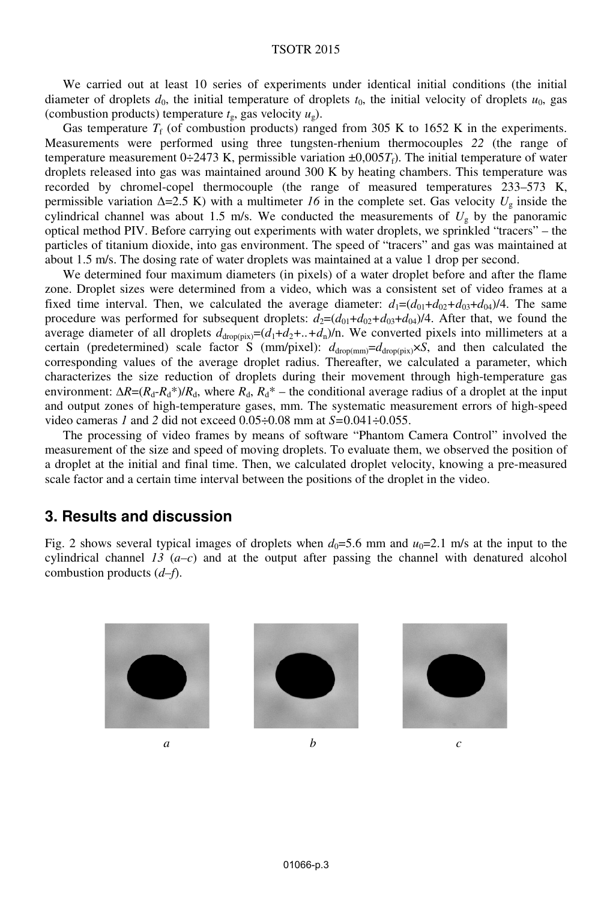#### TSOTR 2015

We carried out at least 10 series of experiments under identical initial conditions (the initial diameter of droplets  $d_0$ , the initial temperature of droplets  $t_0$ , the initial velocity of droplets  $u_0$ , gas (combustion products) temperature  $t<sub>g</sub>$ , gas velocity  $u<sub>g</sub>$ ).

Gas temperature  $T_f$  (of combustion products) ranged from 305 K to 1652 K in the experiments. Measurements were performed using three tungsten-rhenium thermocouples *22* (the range of temperature measurement  $0+2473$  K, permissible variation  $\pm 0.005T_f$ ). The initial temperature of water droplets released into gas was maintained around 300 K by heating chambers. This temperature was recorded by chromel-copel thermocouple (the range of measured temperatures 233–573 K, permissible variation  $\Delta = 2.5$  K) with a multimeter *16* in the complete set. Gas velocity  $U_g$  inside the cylindrical channel was about 1.5 m/s. We conducted the measurements of  $U<sub>g</sub>$  by the panoramic optical method PIV. Before carrying out experiments with water droplets, we sprinkled "tracers" – the particles of titanium dioxide, into gas environment. The speed of "tracers" and gas was maintained at about 1.5 m/s. The dosing rate of water droplets was maintained at a value 1 drop per second.

We determined four maximum diameters (in pixels) of a water droplet before and after the flame zone. Droplet sizes were determined from a video, which was a consistent set of video frames at a fixed time interval. Then, we calculated the average diameter:  $d_1=(d_{01}+d_{02}+d_{03}+d_{04})/4$ . The same procedure was performed for subsequent droplets:  $d_2 = (d_{01} + d_{02} + d_{03} + d_{04})/4$ . After that, we found the average diameter of all droplets  $d_{\text{drop(pix)}} = (d_1 + d_2 + ... + d_n)/n$ . We converted pixels into millimeters at a certain (predetermined) scale factor S (mm/pixel):  $d_{\text{drop}(mm)}=d_{\text{drop}(pix)}\times S$ , and then calculated the corresponding values of the average droplet radius. Thereafter, we calculated a parameter, which characterizes the size reduction of droplets during their movement through high-temperature gas environment:  $\Delta R = (R_d - R_d^*)/R_d$ , where  $R_d$ ,  $R_d^*$  – the conditional average radius of a droplet at the input and output zones of high-temperature gases, mm. The systematic measurement errors of high-speed video cameras *1* and *2* did not exceed 0.05÷0.08 mm at *S=*0.041÷0.055.

The processing of video frames by means of software "Phantom Camera Control" involved the measurement of the size and speed of moving droplets. To evaluate them, we observed the position of a droplet at the initial and final time. Then, we calculated droplet velocity, knowing a pre-measured scale factor and a certain time interval between the positions of the droplet in the video.

### **3. Results and discussion**

Fig. 2 shows several typical images of droplets when  $d_0=5.6$  mm and  $u_0=2.1$  m/s at the input to the cylindrical channel  $13(a-c)$  and at the output after passing the channel with denatured alcohol combustion products (*d–f*).

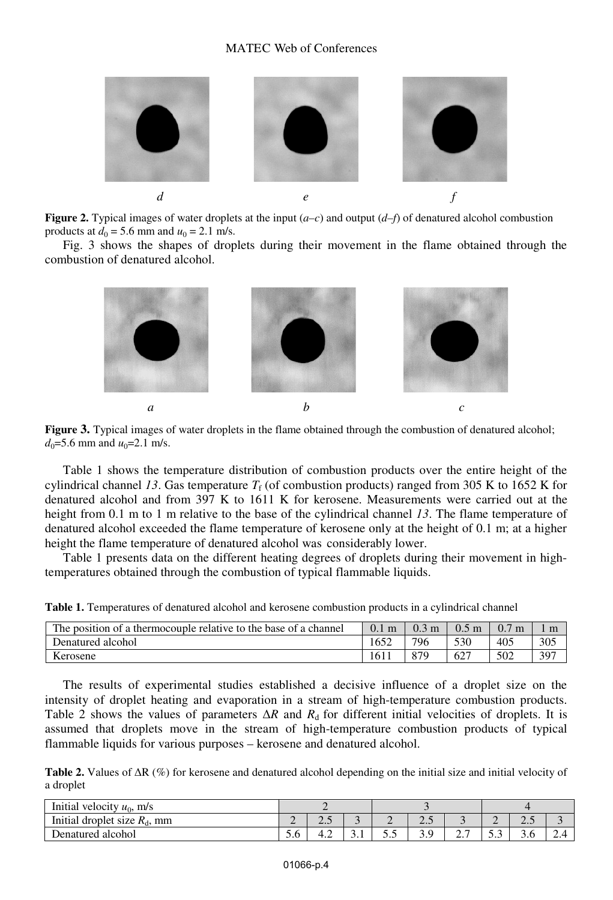

**Figure 2.** Typical images of water droplets at the input (*a–c*) and output (*d–f*) of denatured alcohol combustion products at  $d_0 = 5.6$  mm and  $u_0 = 2.1$  m/s.

Fig. 3 shows the shapes of droplets during their movement in the flame obtained through the combustion of denatured alcohol.



**Figure 3.** Typical images of water droplets in the flame obtained through the combustion of denatured alcohol;  $d_0 = 5.6$  mm and  $u_0 = 2.1$  m/s.

Table 1 shows the temperature distribution of combustion products over the entire height of the cylindrical channel 13. Gas temperature  $T_f$  (of combustion products) ranged from 305 K to 1652 K for denatured alcohol and from 397 K to 1611 K for kerosene. Measurements were carried out at the height from 0.1 m to 1 m relative to the base of the cylindrical channel *13*. The flame temperature of denatured alcohol exceeded the flame temperature of kerosene only at the height of 0.1 m; at a higher height the flame temperature of denatured alcohol was considerably lower.

Table 1 presents data on the different heating degrees of droplets during their movement in hightemperatures obtained through the combustion of typical flammable liquids.

**Table 1.** Temperatures of denatured alcohol and kerosene combustion products in a cylindrical channel

| The position of a thermocouple relative to the base of a channel | 0.1 <sub>m</sub> | 0.3<br>m | 0.5 <sub>m</sub> | 0.7 <sub>m</sub> |     |
|------------------------------------------------------------------|------------------|----------|------------------|------------------|-----|
| Denatured alcohol                                                | 1652             | 796      | 530              | 405              | 305 |
| Kerosene                                                         | 161              | 879      |                  | 502              | 397 |

The results of experimental studies established a decisive influence of a droplet size on the intensity of droplet heating and evaporation in a stream of high-temperature combustion products. Table 2 shows the values of parameters  $\Delta R$  and  $R_d$  for different initial velocities of droplets. It is assumed that droplets move in the stream of high-temperature combustion products of typical flammable liquids for various purposes – kerosene and denatured alcohol.

**Table 2.** Values of  $\Delta R$  (%) for kerosene and denatured alcohol depending on the initial size and initial velocity of a droplet

| Initial velocity $u_0$ , m/s    |          |       |     |                          |      |          |                          |     |        |
|---------------------------------|----------|-------|-----|--------------------------|------|----------|--------------------------|-----|--------|
| Initial droplet size $R_d$ , mm | <u>_</u> | ر. ک  | ◡   | $\overline{\phantom{0}}$ | ر. . |          | $\overline{\phantom{0}}$ | ر…  |        |
| Denatured alcohol               | J.U      | $+.2$ | J.I | ັ້                       |      | <u>.</u> | ن. ر                     | J.U | $\sim$ |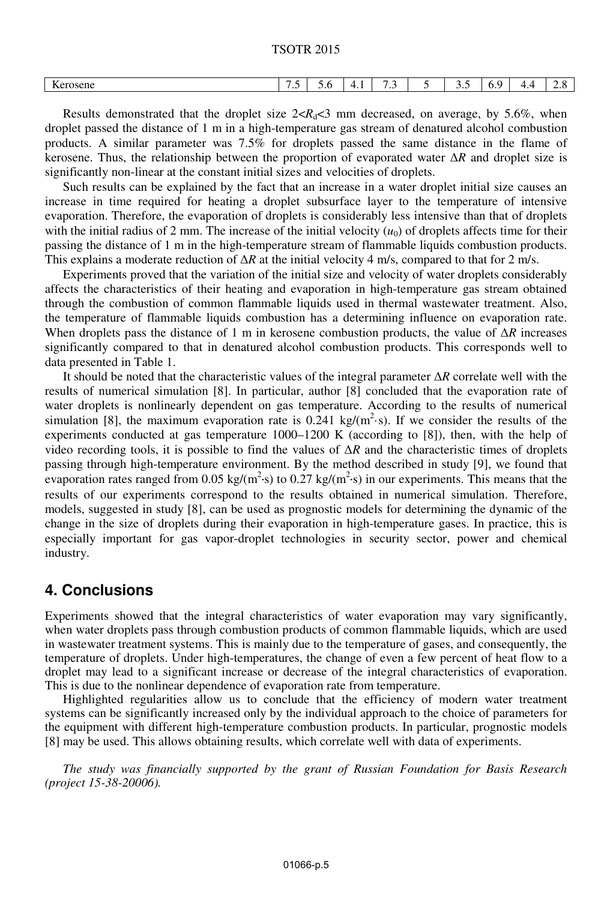TSOTR 2015

| $\boldsymbol{V}$<br>Kerosene<br>. | $\overline{\phantom{a}}$ | J.V | . .<br>the contract of the contract of | $\overline{\phantom{a}}$<br>. | -<br>ັ | . .<br>$\mathbf{u}$ . | . . | ້⊷<br>__ |
|-----------------------------------|--------------------------|-----|----------------------------------------|-------------------------------|--------|-----------------------|-----|----------|
|                                   |                          |     |                                        |                               |        |                       |     |          |

Results demonstrated that the droplet size  $2 < R_d < 3$  mm decreased, on average, by 5.6%, when droplet passed the distance of 1 m in a high-temperature gas stream of denatured alcohol combustion products. A similar parameter was 7.5% for droplets passed the same distance in the flame of kerosene. Thus, the relationship between the proportion of evaporated water  $\Delta R$  and droplet size is significantly non-linear at the constant initial sizes and velocities of droplets.

Such results can be explained by the fact that an increase in a water droplet initial size causes an increase in time required for heating a droplet subsurface layer to the temperature of intensive evaporation. Therefore, the evaporation of droplets is considerably less intensive than that of droplets with the initial radius of 2 mm. The increase of the initial velocity  $(u_0)$  of droplets affects time for their passing the distance of 1 m in the high-temperature stream of flammable liquids combustion products. This explains a moderate reduction of  $\Delta R$  at the initial velocity 4 m/s, compared to that for 2 m/s.

Experiments proved that the variation of the initial size and velocity of water droplets considerably affects the characteristics of their heating and evaporation in high-temperature gas stream obtained through the combustion of common flammable liquids used in thermal wastewater treatment. Also, the temperature of flammable liquids combustion has a determining influence on evaporation rate. When droplets pass the distance of 1 m in kerosene combustion products, the value of  $\Delta R$  increases significantly compared to that in denatured alcohol combustion products. This corresponds well to data presented in Table 1.

It should be noted that the characteristic values of the integral parameter  $\Delta R$  correlate well with the results of numerical simulation [8]. In particular, author [8] concluded that the evaporation rate of water droplets is nonlinearly dependent on gas temperature. According to the results of numerical simulation [8], the maximum evaporation rate is  $0.241 \text{ kg/(m}^2 \text{·s)}$ . If we consider the results of the experiments conducted at gas temperature 1000–1200 K (according to [8]), then, with the help of video recording tools, it is possible to find the values of  $\Delta R$  and the characteristic times of droplets passing through high-temperature environment. By the method described in study [9], we found that evaporation rates ranged from 0.05 kg/(m<sup>2</sup>·s) to 0.27 kg/(m<sup>2</sup>·s) in our experiments. This means that the results of our experiments correspond to the results obtained in numerical simulation. Therefore, models, suggested in study [8], can be used as prognostic models for determining the dynamic of the change in the size of droplets during their evaporation in high-temperature gases. In practice, this is especially important for gas vapor-droplet technologies in security sector, power and chemical industry.

## **4. Conclusions**

Experiments showed that the integral characteristics of water evaporation may vary significantly, when water droplets pass through combustion products of common flammable liquids, which are used in wastewater treatment systems. This is mainly due to the temperature of gases, and consequently, the temperature of droplets. Under high-temperatures, the change of even a few percent of heat flow to a droplet may lead to a significant increase or decrease of the integral characteristics of evaporation. This is due to the nonlinear dependence of evaporation rate from temperature.

Highlighted regularities allow us to conclude that the efficiency of modern water treatment systems can be significantly increased only by the individual approach to the choice of parameters for the equipment with different high-temperature combustion products. In particular, prognostic models [8] may be used. This allows obtaining results, which correlate well with data of experiments.

*The study was financially supported by the grant of Russian Foundation for Basis Research (project 15-38-20006).*